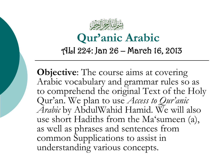

# **Qur'anic Arabic**

#### ALI 224: Jan 26 – March 16, 2013

**Objective:** The course aims at covering Arabic vocabulary and grammar rules so as to comprehend the original Text of the Holy Qur'an. We plan to use *Access to Qur'anic Arabic* by AbdulWahid Hamid. We will also use short Hadiths from the Ma'sumeen (a), as well as phrases and sentences from common Supplications to assist in understanding various concepts.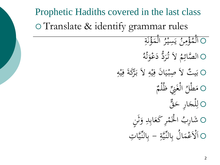## Prophetic Hadiths covered in the last class Translate & identify grammar rules

 $\overline{4}$ 

ة ؤن ُ َ م ال  $\frac{1}{4}$ ن<br>.<br>. ل<br>ا ر<br>ِ ِ<br>سِسِرِ  $\ddot{\phantom{0}}$ يا<br>. |<br>ايد<br>:  $\ddot{\phantom{0}}$ ن م ؤ  $\overline{\mathbf{A}}$ ة<br>م  $\blacktriangle$ ا<br>هم ل<br>أ ل  $\frac{1}{2}$ ا ام<br>ا ه ُ َ ت و ع د د ُّ ر ُ ت الَ **ک**  $\overline{\phantom{a}}$ )<br>ر  $\bigcap$ الصَّائِمُ م<br>لگ O بَيتٌ لاَ صِبْيَانَ فِيْهِ لاَ بَرْكَةَ فِيْهِ<br>هو هو هو ا ه<br>به  $\ddot{\mathbf{a}}$  $\ddot{\cdot}$ ن<br>ن ب<br>. ِ  $\ddot{\phantom{0}}$ ه<br>ي  $\ddot{\bullet}$  $\ddot{\zeta}$  $\ddot{\ddot{\cdot}}$ يد **ٔ** .<br>.. ب<br>.. ب O مَطْلُ الْغَنِيِّ ظُلْمٌ<br>م .<br>فر ل<br>ا )<br>پا ل ط م  $\overline{\mathbf{a}}$ **م**<br>. 0 لِلْجَارِ حَقٌّ<br>ه اِر ح لج  $\mathbf{z}$  $\mu$ ِ ل o شَارِبُ الْخَمْرِ كَعَابِدِ وَثَنٍ<br>م  $\ddot{\cdot}$ م:<br>با **گ**ر  $\blacklozenge$ ڵ<br>ڵ شَارِبُّ<br>ِ O اَلْاَعْمَالُ بِالنَّيَّةِ − بِالنَّيَّاتِ **تم**ع ِ<br>ب **ک** ِ<br>ب د<br>نر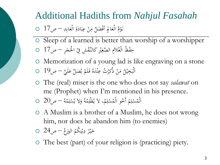### Additional Hadiths from *Nahjul Fasahah*

- مِنْ عِبَادَةِ الْعَابِدِ ص17 0 **گ**ر  $\ddot{\tilde{c}}$  $\ddot{\phantom{0}}$  $\ddot{\cdot}$ بر .<br>-<br>- $\mathbf{A}$ نَوْمُ الْعَالِجِ أَفْضَلُ مِنْ عِبَادَةِ الْعَابِدِ — ص17 ْ  $\frac{1}{2}$ **گ**ر **م**
- Sleep of a learned is better than worship of a worshipper حِفْظُ الْغُلاَمِ الصَّغِيْرِ كَالنَّقْشِ فِيْ الْحَجَرِ — ص17 O  $\ddot{\phantom{0}}$  $\zeta$  $\ddot{\varepsilon}$ رِ **ل**يہ .<br>و
- Memorization of a young lad is like engraving on a stone صَلِّ عَلَيَّ – ص19 0 **ء** ِثٌ عِنْدَهُ فَلَمْ يُ<sub>ّ</sub> و<br>يو ْ <u>ف</u>  $\overline{\phantom{a}}$ ه<br>. مَنْ ذُكِرْتُ<br>\* .<br>-<br>- $\mathcal{A}$ اَلْبَخِيْلُ مَنْ ذُكِرْتُ عِنْدَهُ فَلَمْ يُصَلِّ عَلَيَّ حرك<sup>19</sup>  $\ddot{\cdot}$
- The (real) miser is the one who does not say *salawat* on me (Prophet) when I'm mentioned in his presence.
- هٔ ص20 0  $\sim$ م ل ُس الَ و ُ ه ِ ْ و<br>يو َ  $\overline{\phantom{a}}$ م، لاَ يُظْلِمُهُ<br>م ِ و<br>يو أَخُو الْمُسْلِمُ ِ ْ ُ اَلْمُسْلِمُ أَخُو الْمُسْلِمُ، لاَ يُظْلِمُهُ وَلاَ يُسْلِمُهُ — ص20 ا ْ
- A Muslim is a brother of a Muslim, he does not wrong him, nor does he abandon him (to enemies)
- الوَرَغُ ص24 0 َ دِيْنِكُمُ  $\ddot{.}$ نذ يہ<br>\* ه<br>يو <u>ب</u> ر<br>ِ خَيْرُ دِيْنِكُمُ الْوَرَغُ — ص24  $\ddot{\cdot}$ َ
- The best (part) of your religion is (practicing) piety.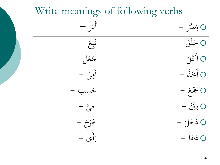## Write meanings of following verbs